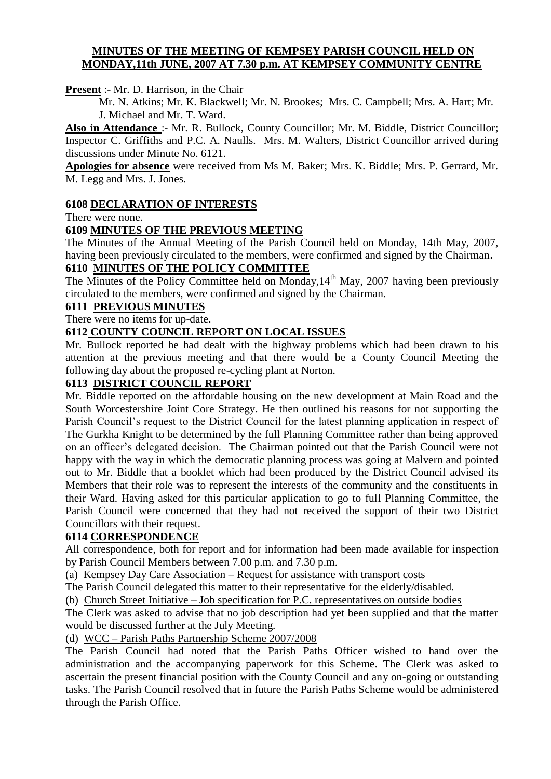#### **MINUTES OF THE MEETING OF KEMPSEY PARISH COUNCIL HELD ON MONDAY,11th JUNE, 2007 AT 7.30 p.m. AT KEMPSEY COMMUNITY CENTRE**

**Present** :- Mr. D. Harrison, in the Chair

Mr. N. Atkins; Mr. K. Blackwell; Mr. N. Brookes; Mrs. C. Campbell; Mrs. A. Hart; Mr. J. Michael and Mr. T. Ward.

**Also in Attendance** :- Mr. R. Bullock, County Councillor; Mr. M. Biddle, District Councillor; Inspector C. Griffiths and P.C. A. Naulls. Mrs. M. Walters, District Councillor arrived during discussions under Minute No. 6121.

**Apologies for absence** were received from Ms M. Baker; Mrs. K. Biddle; Mrs. P. Gerrard, Mr. M. Legg and Mrs. J. Jones.

#### **6108 DECLARATION OF INTERESTS**

There were none.

#### **6109 MINUTES OF THE PREVIOUS MEETING**

The Minutes of the Annual Meeting of the Parish Council held on Monday, 14th May, 2007, having been previously circulated to the members, were confirmed and signed by the Chairman**.**

### **6110 MINUTES OF THE POLICY COMMITTEE**

The Minutes of the Policy Committee held on Monday,  $14<sup>th</sup>$  May, 2007 having been previously circulated to the members, were confirmed and signed by the Chairman.

#### **6111 PREVIOUS MINUTES**

There were no items for up-date.

#### **6112 COUNTY COUNCIL REPORT ON LOCAL ISSUES**

Mr. Bullock reported he had dealt with the highway problems which had been drawn to his attention at the previous meeting and that there would be a County Council Meeting the following day about the proposed re-cycling plant at Norton.

#### **6113 DISTRICT COUNCIL REPORT**

Mr. Biddle reported on the affordable housing on the new development at Main Road and the South Worcestershire Joint Core Strategy. He then outlined his reasons for not supporting the Parish Council's request to the District Council for the latest planning application in respect of The Gurkha Knight to be determined by the full Planning Committee rather than being approved on an officer's delegated decision. The Chairman pointed out that the Parish Council were not happy with the way in which the democratic planning process was going at Malvern and pointed out to Mr. Biddle that a booklet which had been produced by the District Council advised its Members that their role was to represent the interests of the community and the constituents in their Ward. Having asked for this particular application to go to full Planning Committee, the Parish Council were concerned that they had not received the support of their two District Councillors with their request.

#### **6114 CORRESPONDENCE**

All correspondence, both for report and for information had been made available for inspection by Parish Council Members between 7.00 p.m. and 7.30 p.m.

(a) Kempsey Day Care Association – Request for assistance with transport costs

The Parish Council delegated this matter to their representative for the elderly/disabled.

(b) Church Street Initiative – Job specification for P.C. representatives on outside bodies

The Clerk was asked to advise that no job description had yet been supplied and that the matter would be discussed further at the July Meeting.

(d) WCC – Parish Paths Partnership Scheme 2007/2008

The Parish Council had noted that the Parish Paths Officer wished to hand over the administration and the accompanying paperwork for this Scheme. The Clerk was asked to ascertain the present financial position with the County Council and any on-going or outstanding tasks. The Parish Council resolved that in future the Parish Paths Scheme would be administered through the Parish Office.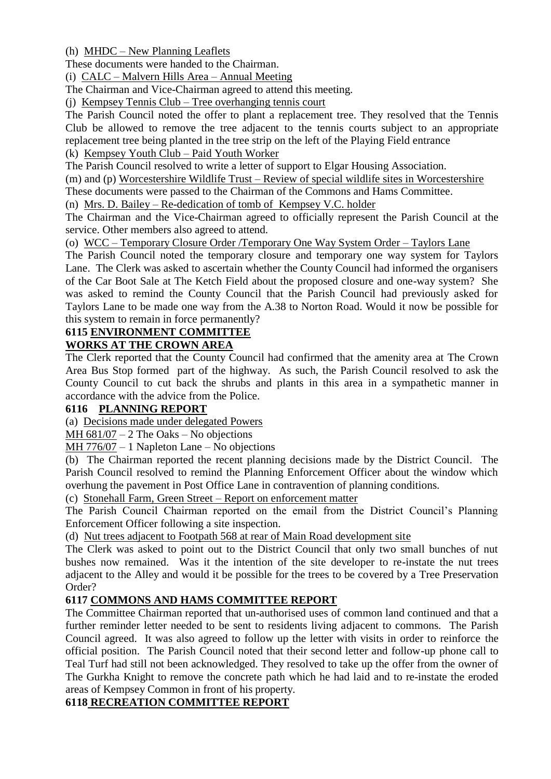(h) MHDC – New Planning Leaflets

These documents were handed to the Chairman.

(i) CALC – Malvern Hills Area – Annual Meeting

The Chairman and Vice-Chairman agreed to attend this meeting.

(j) Kempsey Tennis Club – Tree overhanging tennis court

The Parish Council noted the offer to plant a replacement tree. They resolved that the Tennis Club be allowed to remove the tree adjacent to the tennis courts subject to an appropriate replacement tree being planted in the tree strip on the left of the Playing Field entrance

(k) Kempsey Youth Club – Paid Youth Worker

The Parish Council resolved to write a letter of support to Elgar Housing Association.

(m) and (p) Worcestershire Wildlife Trust – Review of special wildlife sites in Worcestershire

These documents were passed to the Chairman of the Commons and Hams Committee.

(n) Mrs. D. Bailey – Re-dedication of tomb of Kempsey V.C. holder

The Chairman and the Vice-Chairman agreed to officially represent the Parish Council at the service. Other members also agreed to attend.

(o) WCC – Temporary Closure Order /Temporary One Way System Order – Taylors Lane

The Parish Council noted the temporary closure and temporary one way system for Taylors Lane. The Clerk was asked to ascertain whether the County Council had informed the organisers of the Car Boot Sale at The Ketch Field about the proposed closure and one-way system? She was asked to remind the County Council that the Parish Council had previously asked for Taylors Lane to be made one way from the A.38 to Norton Road. Would it now be possible for this system to remain in force permanently?

#### **6115 ENVIRONMENT COMMITTEE WORKS AT THE CROWN AREA**

The Clerk reported that the County Council had confirmed that the amenity area at The Crown Area Bus Stop formed part of the highway. As such, the Parish Council resolved to ask the County Council to cut back the shrubs and plants in this area in a sympathetic manner in accordance with the advice from the Police.

## **6116 PLANNING REPORT**

(a) Decisions made under delegated Powers

MH 681/07 – 2 The Oaks – No objections

MH 776/07 – 1 Napleton Lane – No objections

(b) The Chairman reported the recent planning decisions made by the District Council. The Parish Council resolved to remind the Planning Enforcement Officer about the window which overhung the pavement in Post Office Lane in contravention of planning conditions.

(c) Stonehall Farm, Green Street – Report on enforcement matter

The Parish Council Chairman reported on the email from the District Council's Planning Enforcement Officer following a site inspection.

(d) Nut trees adjacent to Footpath 568 at rear of Main Road development site

The Clerk was asked to point out to the District Council that only two small bunches of nut bushes now remained. Was it the intention of the site developer to re-instate the nut trees adjacent to the Alley and would it be possible for the trees to be covered by a Tree Preservation Order?

## **6117 COMMONS AND HAMS COMMITTEE REPORT**

The Committee Chairman reported that un-authorised uses of common land continued and that a further reminder letter needed to be sent to residents living adjacent to commons. The Parish Council agreed. It was also agreed to follow up the letter with visits in order to reinforce the official position. The Parish Council noted that their second letter and follow-up phone call to Teal Turf had still not been acknowledged. They resolved to take up the offer from the owner of The Gurkha Knight to remove the concrete path which he had laid and to re-instate the eroded areas of Kempsey Common in front of his property.

## **6118 RECREATION COMMITTEE REPORT**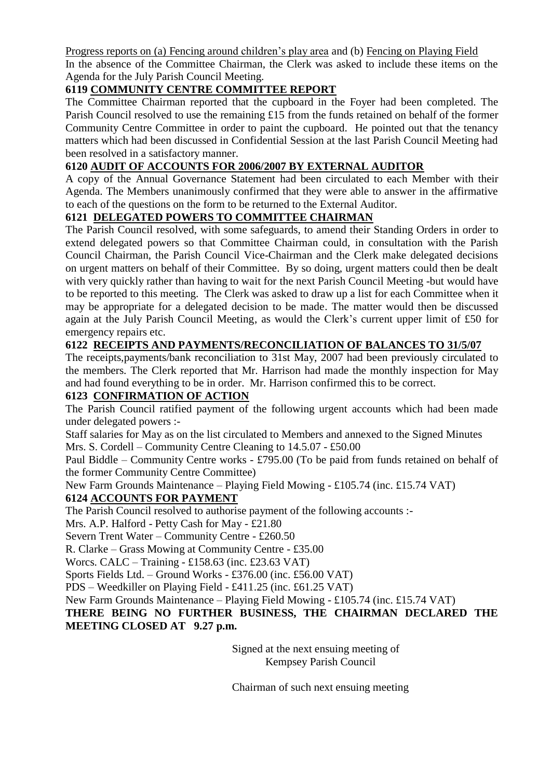Progress reports on (a) Fencing around children's play area and (b) Fencing on Playing Field In the absence of the Committee Chairman, the Clerk was asked to include these items on the Agenda for the July Parish Council Meeting.

# **6119 COMMUNITY CENTRE COMMITTEE REPORT**

The Committee Chairman reported that the cupboard in the Foyer had been completed. The Parish Council resolved to use the remaining £15 from the funds retained on behalf of the former Community Centre Committee in order to paint the cupboard. He pointed out that the tenancy matters which had been discussed in Confidential Session at the last Parish Council Meeting had been resolved in a satisfactory manner.

## **6120 AUDIT OF ACCOUNTS FOR 2006/2007 BY EXTERNAL AUDITOR**

A copy of the Annual Governance Statement had been circulated to each Member with their Agenda. The Members unanimously confirmed that they were able to answer in the affirmative to each of the questions on the form to be returned to the External Auditor.

## **6121 DELEGATED POWERS TO COMMITTEE CHAIRMAN**

The Parish Council resolved, with some safeguards, to amend their Standing Orders in order to extend delegated powers so that Committee Chairman could, in consultation with the Parish Council Chairman, the Parish Council Vice-Chairman and the Clerk make delegated decisions on urgent matters on behalf of their Committee. By so doing, urgent matters could then be dealt with very quickly rather than having to wait for the next Parish Council Meeting -but would have to be reported to this meeting. The Clerk was asked to draw up a list for each Committee when it may be appropriate for a delegated decision to be made. The matter would then be discussed again at the July Parish Council Meeting, as would the Clerk's current upper limit of £50 for emergency repairs etc.

## **6122 RECEIPTS AND PAYMENTS/RECONCILIATION OF BALANCES TO 31/5/07**

The receipts,payments/bank reconciliation to 31st May, 2007 had been previously circulated to the members. The Clerk reported that Mr. Harrison had made the monthly inspection for May and had found everything to be in order. Mr. Harrison confirmed this to be correct.

### **6123 CONFIRMATION OF ACTION**

The Parish Council ratified payment of the following urgent accounts which had been made under delegated powers :-

Staff salaries for May as on the list circulated to Members and annexed to the Signed Minutes Mrs. S. Cordell – Community Centre Cleaning to 14.5.07 - £50.00

Paul Biddle – Community Centre works - £795.00 (To be paid from funds retained on behalf of the former Community Centre Committee)

New Farm Grounds Maintenance – Playing Field Mowing - £105.74 (inc. £15.74 VAT)

## **6124 ACCOUNTS FOR PAYMENT**

The Parish Council resolved to authorise payment of the following accounts :-

Mrs. A.P. Halford - Petty Cash for May - £21.80

Severn Trent Water – Community Centre - £260.50

R. Clarke – Grass Mowing at Community Centre - £35.00

Worcs. CALC – Training - £158.63 (inc. £23.63 VAT)

Sports Fields Ltd. – Ground Works - £376.00 (inc. £56.00 VAT)

PDS – Weedkiller on Playing Field - £411.25 (inc. £61.25 VAT)

New Farm Grounds Maintenance – Playing Field Mowing - £105.74 (inc. £15.74 VAT)

**THERE BEING NO FURTHER BUSINESS, THE CHAIRMAN DECLARED THE MEETING CLOSED AT 9.27 p.m.**

> Signed at the next ensuing meeting of Kempsey Parish Council

Chairman of such next ensuing meeting